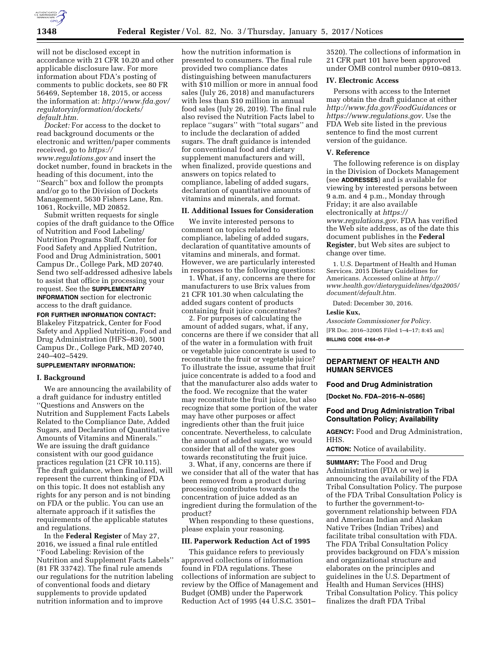

will not be disclosed except in accordance with 21 CFR 10.20 and other applicable disclosure law. For more information about FDA's posting of comments to public dockets, see 80 FR 56469, September 18, 2015, or access the information at: *[http://www.fda.gov/](http://www.fda.gov/regulatoryinformation/dockets/default.htm)  [regulatoryinformation/dockets/](http://www.fda.gov/regulatoryinformation/dockets/default.htm)  [default.htm.](http://www.fda.gov/regulatoryinformation/dockets/default.htm)* 

*Docket:* For access to the docket to read background documents or the electronic and written/paper comments received, go to *[https://](https://www.regulations.gov) [www.regulations.gov](https://www.regulations.gov)* and insert the docket number, found in brackets in the heading of this document, into the ''Search'' box and follow the prompts and/or go to the Division of Dockets Management, 5630 Fishers Lane, Rm. 1061, Rockville, MD 20852.

Submit written requests for single copies of the draft guidance to the Office of Nutrition and Food Labeling/ Nutrition Programs Staff, Center for Food Safety and Applied Nutrition, Food and Drug Administration, 5001 Campus Dr., College Park, MD 20740. Send two self-addressed adhesive labels to assist that office in processing your request. See the **SUPPLEMENTARY INFORMATION** section for electronic access to the draft guidance.

**FOR FURTHER INFORMATION CONTACT:**  Blakeley Fitzpatrick, Center for Food

Safety and Applied Nutrition, Food and Drug Administration (HFS–830), 5001 Campus Dr., College Park, MD 20740, 240–402–5429.

# **SUPPLEMENTARY INFORMATION:**

## **I. Background**

We are announcing the availability of a draft guidance for industry entitled ''Questions and Answers on the Nutrition and Supplement Facts Labels Related to the Compliance Date, Added Sugars, and Declaration of Quantitative Amounts of Vitamins and Minerals.'' We are issuing the draft guidance consistent with our good guidance practices regulation (21 CFR 10.115). The draft guidance, when finalized, will represent the current thinking of FDA on this topic. It does not establish any rights for any person and is not binding on FDA or the public. You can use an alternate approach if it satisfies the requirements of the applicable statutes and regulations.

In the **Federal Register** of May 27, 2016, we issued a final rule entitled ''Food Labeling: Revision of the Nutrition and Supplement Facts Labels'' (81 FR 33742). The final rule amends our regulations for the nutrition labeling of conventional foods and dietary supplements to provide updated nutrition information and to improve

how the nutrition information is presented to consumers. The final rule provided two compliance dates distinguishing between manufacturers with \$10 million or more in annual food sales (July 26, 2018) and manufacturers with less than \$10 million in annual food sales (July 26, 2019). The final rule also revised the Nutrition Facts label to replace ''sugars'' with ''total sugars'' and to include the declaration of added sugars. The draft guidance is intended for conventional food and dietary supplement manufacturers and will, when finalized, provide questions and answers on topics related to compliance, labeling of added sugars, declaration of quantitative amounts of vitamins and minerals, and format.

#### **II. Additional Issues for Consideration**

We invite interested persons to comment on topics related to compliance, labeling of added sugars, declaration of quantitative amounts of vitamins and minerals, and format. However, we are particularly interested in responses to the following questions:

1. What, if any, concerns are there for manufacturers to use Brix values from 21 CFR 101.30 when calculating the added sugars content of products containing fruit juice concentrates?

2. For purposes of calculating the amount of added sugars, what, if any, concerns are there if we consider that all of the water in a formulation with fruit or vegetable juice concentrate is used to reconstitute the fruit or vegetable juice? To illustrate the issue, assume that fruit juice concentrate is added to a food and that the manufacturer also adds water to the food. We recognize that the water may reconstitute the fruit juice, but also recognize that some portion of the water may have other purposes or affect ingredients other than the fruit juice concentrate. Nevertheless, to calculate the amount of added sugars, we would consider that all of the water goes towards reconstituting the fruit juice.

3. What, if any, concerns are there if we consider that all of the water that has been removed from a product during processing contributes towards the concentration of juice added as an ingredient during the formulation of the product?

When responding to these questions, please explain your reasoning.

#### **III. Paperwork Reduction Act of 1995**

This guidance refers to previously approved collections of information found in FDA regulations. These collections of information are subject to review by the Office of Management and Budget (OMB) under the Paperwork Reduction Act of 1995 (44 U.S.C. 3501–

3520). The collections of information in 21 CFR part 101 have been approved under OMB control number 0910–0813.

# **IV. Electronic Access**

Persons with access to the Internet may obtain the draft guidance at either *<http://www.fda.gov/FoodGuidances>*or *[https://www.regulations.gov.](https://www.regulations.gov)* Use the FDA Web site listed in the previous sentence to find the most current version of the guidance.

#### **V. Reference**

The following reference is on display in the Division of Dockets Management (see **ADDRESSES**) and is available for viewing by interested persons between 9 a.m. and 4 p.m., Monday through Friday; it are also available electronically at *[https://](https://www.regulations.gov) [www.regulations.gov.](https://www.regulations.gov)* FDA has verified the Web site address, as of the date this document publishes in the **Federal Register**, but Web sites are subject to change over time.

1. U.S. Department of Health and Human Services. 2015 Dietary Guidelines for Americans. Accessed online at *[http://](http://www.health.gov/dietaryguidelines/dga2005/document/default.htm) [www.health.gov/dietaryguidelines/dga2005/](http://www.health.gov/dietaryguidelines/dga2005/document/default.htm) [document/default.htm.](http://www.health.gov/dietaryguidelines/dga2005/document/default.htm)* 

Dated: December 30, 2016.

#### **Leslie Kux,**

*Associate Commissioner for Policy.* 

[FR Doc. 2016–32005 Filed 1–4–17; 8:45 am] **BILLING CODE 4164–01–P** 

# **DEPARTMENT OF HEALTH AND HUMAN SERVICES**

# **Food and Drug Administration**

**[Docket No. FDA–2016–N–0586]** 

#### **Food and Drug Administration Tribal Consultation Policy; Availability**

**AGENCY:** Food and Drug Administration, HHS.

**ACTION:** Notice of availability.

**SUMMARY:** The Food and Drug Administration (FDA or we) is announcing the availability of the FDA Tribal Consultation Policy. The purpose of the FDA Tribal Consultation Policy is to further the government-togovernment relationship between FDA and American Indian and Alaskan Native Tribes (Indian Tribes) and facilitate tribal consultation with FDA. The FDA Tribal Consultation Policy provides background on FDA's mission and organizational structure and elaborates on the principles and guidelines in the U.S. Department of Health and Human Services (HHS) Tribal Consultation Policy. This policy finalizes the draft FDA Tribal